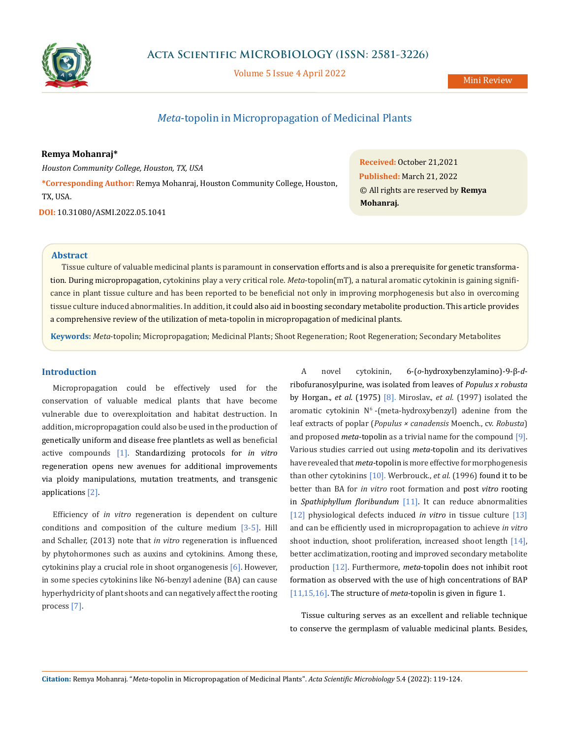

Volume 5 Issue 4 April 2022

# *Meta*-topolin in Micropropagation of Medicinal Plants

### **Remya Mohanraj\***

*Houston Community College, Houston, TX, USA*

**\*Corresponding Author:** Remya Mohanraj, Houston Community College, Houston, TX, USA.

**DOI:** [10.31080/ASMI.2022.05.1041](http:// actascientific.com/ASMI/pdf/ASMI-05-1041.pdf)

**Received:** October 21,2021 **Published:** March 21, 2022 © All rights are reserved by **Remya Mohanraj***.*

#### **Abstract**

Tissue culture of valuable medicinal plants is paramount in conservation efforts and is also a prerequisite for genetic transformation. During micropropagation, cytokinins play a very critical role. *Meta*-topolin(mT), a natural aromatic cytokinin is gaining significance in plant tissue culture and has been reported to be beneficial not only in improving morphogenesis but also in overcoming tissue culture induced abnormalities. In addition, it could also aid in boosting secondary metabolite production. This article provides a comprehensive review of the utilization of meta-topolin in micropropagation of medicinal plants.

**Keywords:** *Meta*-topolin; Micropropagation; Medicinal Plants; Shoot Regeneration; Root Regeneration; Secondary Metabolites

### **Introduction**

Micropropagation could be effectively used for the conservation of valuable medical plants that have become vulnerable due to overexploitation and habitat destruction. In addition, micropropagation could also be used in the production of genetically uniform and disease free plantlets as well as beneficial active compounds [1]. Standardizing protocols for *in vitro* regeneration opens new avenues for additional improvements via ploidy manipulations, mutation treatments, and transgenic applications [2].

Efficiency of *in vitro* regeneration is dependent on culture conditions and composition of the culture medium [3-5]. Hill and Schaller, (2013) note that *in vitro* regeneration is influenced by phytohormones such as auxins and cytokinins. Among these, cytokinins play a crucial role in shoot organogenesis [6]. However, in some species cytokinins like N6-benzyl adenine (BA) can cause hyperhydricity of plant shoots and can negatively affect the rooting process [7].

A novel cytokinin, 6-(*o*-hydroxybenzylamino)-9-β-*d*ribofuranosylpurine, was isolated from leaves of *Populus x robusta* by Horgan., *et al.* (1975) [8]. Miroslav., *et al.* (1997) isolated the aromatic cytokinin  $N^6$ -(meta-hydroxybenzyl) adenine from the leaf extracts of poplar (*Populus × canadensis* Moench., cv. *Robusta*) and proposed *meta*-topolin as a trivial name for the compound [9]. Various studies carried out using *meta*-topolin and its derivatives have revealed that *meta*-topolin is more effective for morphogenesis than other cytokinins [10]. Werbrouck., *et al.* (1996) found it to be better than BA for *in vitro* root formation and post *vitro* rooting in *Spathiphyllum floribundum* [11]. It can reduce abnormalities [12] physiological defects induced *in vitro* in tissue culture [13] and can be efficiently used in micropropagation to achieve *in vitro* shoot induction, shoot proliferation, increased shoot length [14], better acclimatization, rooting and improved secondary metabolite production [12]. Furthermore, *meta*-topolin does not inhibit root formation as observed with the use of high concentrations of BAP [11,15,16]. The structure of *meta*-topolin is given in figure 1.

Tissue culturing serves as an excellent and reliable technique to conserve the germplasm of valuable medicinal plants. Besides,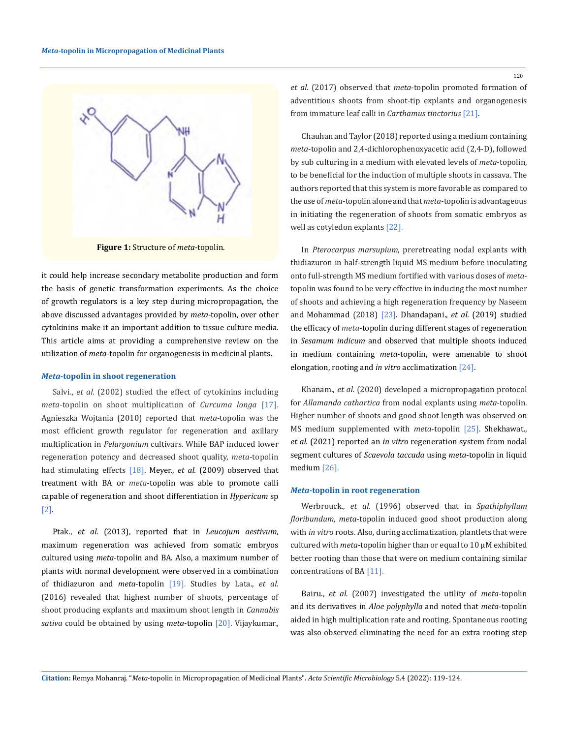

**Figure 1:** Structure of *meta*-topolin.

it could help increase secondary metabolite production and form the basis of genetic transformation experiments. As the choice of growth regulators is a key step during micropropagation, the above discussed advantages provided by *meta*-topolin, over other cytokinins make it an important addition to tissue culture media. This article aims at providing a comprehensive review on the utilization of *meta*-topolin for organogenesis in medicinal plants.

#### *Meta***-topolin in shoot regeneration**

Salvi., *et al.* (2002) studied the effect of cytokinins including *meta*-topolin on shoot multiplication of *Curcuma longa* [17]. Agnieszka Wojtania (2010) reported that *meta*-topolin was the most efficient growth regulator for regeneration and axillary multiplication in *Pelargonium* cultivars. While BAP induced lower regeneration potency and decreased shoot quality, *meta*-topolin had stimulating effects [18]. Meyer., *et al.* (2009) observed that treatment with BA or *meta*-topolin was able to promote calli capable of regeneration and shoot differentiation in *Hypericum* sp [2]*.*

Ptak., *et al.* (2013), reported that in *Leucojum aestivum,*  maximum regeneration was achieved from somatic embryos cultured using *meta*-topolin and BA. Also, a maximum number of plants with normal development were observed in a combination of thidiazuron and *meta*-topolin [19]. Studies by Lata., *et al.* (2016) revealed that highest number of shoots, percentage of shoot producing explants and maximum shoot length in *Cannabis sativa* could be obtained by using *meta*-topolin [20]. Vijaykumar.,

*et al.* (2017) observed that *meta*-topolin promoted formation of adventitious shoots from shoot-tip explants and organogenesis from immature leaf calli in *Carthamus tinctorius* [21].

Chauhan and Taylor (2018) reported using a medium containing *meta*-topolin and 2,4-dichlorophenoxyacetic acid (2,4-D), followed by sub culturing in a medium with elevated levels of *meta*-topolin, to be beneficial for the induction of multiple shoots in cassava. The authors reported that this system is more favorable as compared to the use of *meta*-topolin alone and that *meta*-topolin is advantageous in initiating the regeneration of shoots from somatic embryos as well as cotyledon explants [22].

In *Pterocarpus marsupium*, preretreating nodal explants with thidiazuron in half-strength liquid MS medium before inoculating onto full-strength MS medium fortified with various doses of *meta*topolin was found to be very effective in inducing the most number of shoots and achieving a high regeneration frequency by Naseem and Mohammad (2018) [23]. Dhandapani., *et al.* (2019) studied the efficacy of *meta*-topolin during different stages of regeneration in *Sesamum indicum* and observed that multiple shoots induced in medium containing *meta*-topolin, were amenable to shoot elongation, rooting and *in vitro* [acclimatization](https://www.sciencedirect.com/topics/biochemistry-genetics-and-molecular-biology/acclimatization) [24].

Khanam., *et al.* (2020) developed a micropropagation protocol for *Allamanda cathartica* from nodal explants using *meta*-topolin. Higher number of shoots and good shoot length was observed on MS medium supplemented with *meta*-topolin [25]. Shekhawat., *et al.* (2021) reported an *in vitro* regeneration system from nodal segment cultures of *Scaevola taccada* using *meta*-topolin in liquid medium [26].

#### *Meta***-topolin in root regeneration**

Werbrouck., *et al*. (1996) observed that in *Spathiphyllum floribundum, meta*-topolin induced good shoot production along with *in vitro* roots. Also, during acclimatization, plantlets that were cultured with *meta*-topolin higher than or equal to 10 µM exhibited better rooting than those that were on medium containing similar concentrations of BA [11].

Bairu., *et al.* (2007) investigated the utility of *meta*-topolin and its derivatives in *Aloe polyphylla* and noted that *meta*-topolin aided in high multiplication rate and rooting. Spontaneous rooting was also observed eliminating the need for an extra rooting step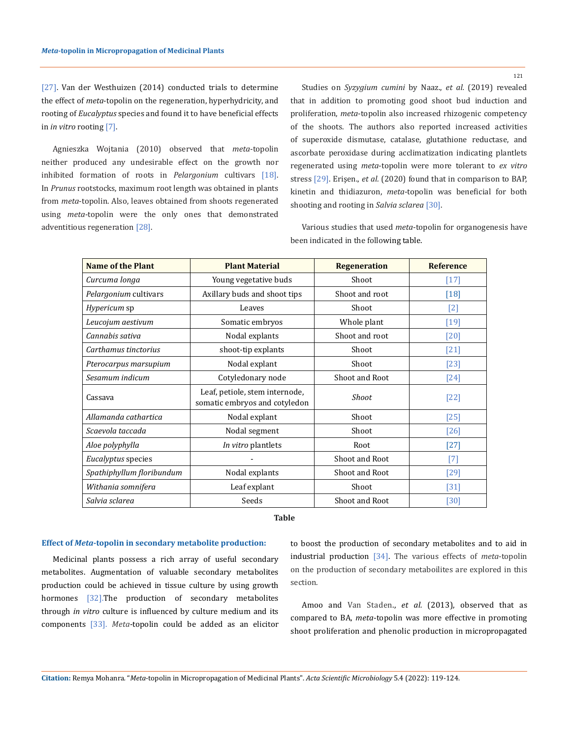121

[27]. Van der Westhuizen (2014) conducted trials to determine the effect of *meta*-topolin on the regeneration, hyperhydricity, and rooting of *Eucalyptus* species and found it to have beneficial effects in *in vitro* rooting [7].

Agnieszka Wojtania (2010) observed that *meta*-topolin neither produced any undesirable effect on the growth nor inhibited formation of roots in *Pelargonium* cultivars [18]. In *Prunus* rootstocks, maximum root length was obtained in plants from *meta*-topolin. Also, leaves obtained from shoots regenerated using *meta*-topolin were the only ones that demonstrated adventitious regeneration [28].

Studies on *Syzygium cumini* by Naaz., *et al.* (2019) revealed that in addition to promoting good shoot bud induction and proliferation, *meta*-topolin also increased rhizogenic competency of the shoots. The authors also reported increased activities of superoxide dismutase, catalase, glutathione reductase, and ascorbate peroxidase during acclimatization indicating plantlets regenerated using *meta*-topolin were more tolerant to *ex vitro* stress [29]. Erişen., *et al.* (2020) found that in comparison to BAP, kinetin and thidiazuron, *meta*-topolin was beneficial for both shooting and rooting in *Salvia sclarea* [30].

Various studies that used *meta*-topolin for organogenesis have been indicated in the following table.

| <b>Name of the Plant</b>  | <b>Plant Material</b>                                           | <b>Regeneration</b> | <b>Reference</b>  |
|---------------------------|-----------------------------------------------------------------|---------------------|-------------------|
| Curcuma longa             | Young vegetative buds                                           | Shoot               | $[17]$            |
| Pelargonium cultivars     | Axillary buds and shoot tips                                    | Shoot and root      | $[18]$            |
| <i>Hypericum</i> sp       | Leaves                                                          | Shoot               | $\lceil 2 \rceil$ |
| Leucojum aestivum         | Somatic embryos                                                 | Whole plant         | $[19]$            |
| Cannabis sativa           | Nodal explants                                                  | Shoot and root      | $[20]$            |
| Carthamus tinctorius      | shoot-tip explants                                              | Shoot               | $[21]$            |
| Pterocarpus marsupium     | Nodal explant                                                   | Shoot               | [23]              |
| Sesamum indicum           | Cotyledonary node                                               | Shoot and Root      | $[24]$            |
| Cassava                   | Leaf, petiole, stem internode,<br>somatic embryos and cotyledon | Shoot               | $[22]$            |
| Allamanda cathartica      | Nodal explant                                                   | Shoot               | [25]              |
| Scaevola taccada          | Nodal segment                                                   | Shoot               | [26]              |
| Aloe polyphylla           | In vitro plantlets                                              | Root                | $[27]$            |
| Eucalyptus species        |                                                                 | Shoot and Root      | $\lceil 7 \rceil$ |
| Spathiphyllum floribundum | Nodal explants                                                  | Shoot and Root      | [29]              |
| Withania somnifera        | Leaf explant                                                    | Shoot               | $[31]$            |
| Salvia sclarea            | Seeds                                                           | Shoot and Root      | $[30]$            |

## **Table**

### **Effect of** *Meta***-topolin in secondary metabolite production:**

Medicinal plants possess a rich array of useful secondary metabolites. Augmentation of valuable secondary metabolites production could be achieved in tissue culture by using growth hormones [32].The production of secondary metabolites through *in vitro* culture is influenced by culture medium and its components [33]. *Meta*-topolin could be added as an elicitor to boost the production of secondary metabolites and to aid in industrial production [34]. The various effects of *meta*-topolin on the production of secondary metaboilites are explored in this section.

Amoo and Van Staden., *et al.* (2013), observed that as compared to BA, *meta*-topolin was more effective in promoting shoot proliferation and phenolic production in micropropagated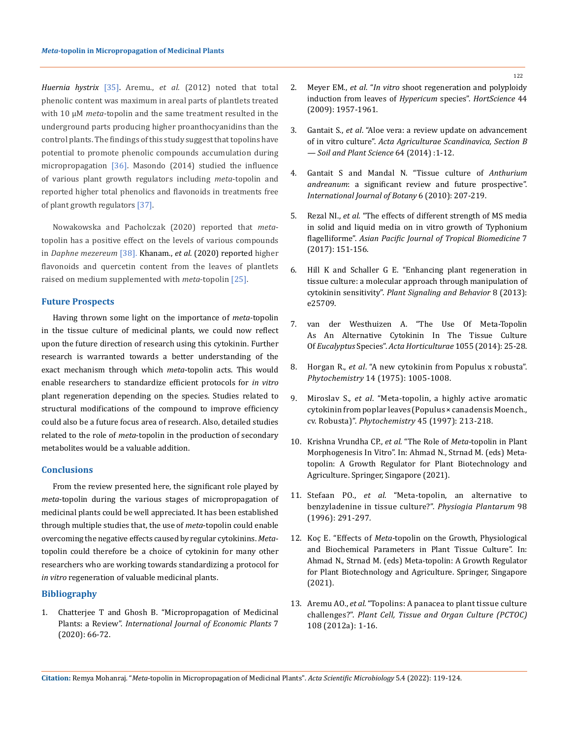*Huernia hystrix* [35]. Aremu., *et al.* (2012) noted that total phenolic content was maximum in areal parts of plantlets treated with 10 μM *meta*-topolin and the same treatment resulted in the underground parts producing higher proanthocyanidins than the control plants. The findings of this study suggest that topolins have potential to promote phenolic compounds accumulation during micropropagation [36]. Masondo (2014) studied the influence of various plant growth regulators including *meta*-topolin and reported higher total phenolics and flavonoids in treatments free of plant growth regulators [37].

Nowakowska and Pacholczak (2020) reported that *meta*topolin has a positive effect on the levels of various compounds in *Daphne mezereum* [38]. Khanam., *et al.* (2020) reported higher flavonoids and quercetin content from the leaves of plantlets raised on medium supplemented with *meta*-topolin [25].

### **Future Prospects**

Having thrown some light on the importance of *meta*-topolin in the tissue culture of medicinal plants, we could now reflect upon the future direction of research using this cytokinin. Further research is warranted towards a better understanding of the exact mechanism through which *meta*-topolin acts. This would enable researchers to standardize efficient protocols for *in vitro* plant regeneration depending on the species. Studies related to structural modifications of the compound to improve efficiency could also be a future focus area of research. Also, detailed studies related to the role of *meta*-topolin in the production of secondary metabolites would be a valuable addition.

#### **Conclusions**

From the review presented here, the significant role played by *meta*-topolin during the various stages of micropropagation of medicinal plants could be well appreciated. It has been established through multiple studies that, the use of *meta*-topolin could enable overcoming the negative effects caused by regular cytokinins. *Meta*topolin could therefore be a choice of cytokinin for many other researchers who are working towards standardizing a protocol for *in vitro* regeneration of valuable medicinal plants.

# **Bibliography**

1. Chatterjee T and Ghosh B. "Micropropagation of Medicinal Plants: a Review". *International Journal of Economic Plants* 7 (2020): 66-72.

- 2. Meyer EM., *et al*. "*In vitro* shoot regeneration and polyploidy induction from leaves of *Hypericum* species". *HortScience* 44 (2009): 1957-1961.
- 3. Gantait S., *et al*[. "Aloe vera: a review update on advancement](https://www.tandfonline.com/doi/full/10.1080/09064710.2013.868924)  of in vitro culture". *[Acta Agriculturae Scandinavica, Section B](https://www.tandfonline.com/doi/full/10.1080/09064710.2013.868924)  [— Soil and Plant Science](https://www.tandfonline.com/doi/full/10.1080/09064710.2013.868924)* 64 (2014) :1-12.
- 4. Gantait S and Mandal [N. "Tissue culture of](https://scialert.net/abstract/?doi=ijb.2010.207.219) *Anthurium andreanum*[: a significant review and future prospective".](https://scialert.net/abstract/?doi=ijb.2010.207.219)  *[International Journal of Botany](https://scialert.net/abstract/?doi=ijb.2010.207.219)* 6 (2010): 207-219.
- 5. Rezal NI., *et al*[. "The effects of different strength of MS media](https://www.sciencedirect.com/science/article/pii/S2221169116302805)  [in solid and liquid media on in vitro growth of](https://www.sciencedirect.com/science/article/pii/S2221169116302805) Typhonium flagelliforme". *[Asian Pacific Journal of Tropical Biomedicine](https://www.sciencedirect.com/science/article/pii/S2221169116302805)* 7 [\(2017\): 151-156.](https://www.sciencedirect.com/science/article/pii/S2221169116302805)
- 6. [Hill K and Schaller G E. "Enhancing plant regeneration in](https://pubmed.ncbi.nlm.nih.gov/23887495/)  [tissue culture: a molecular approach through manipulation of](https://pubmed.ncbi.nlm.nih.gov/23887495/)  cytokinin sensitivity". *[Plant Signaling and Behavior](https://pubmed.ncbi.nlm.nih.gov/23887495/)* 8 (2013): [e25709.](https://pubmed.ncbi.nlm.nih.gov/23887495/)
- 7. [van der Westhuizen A. "The Use Of](https://www.researchgate.net/publication/284000465_The_use_of_meta-topolin_as_an_alternative_cytokinin_in_the_tissue_culture_of_Eucalyptus_species) Meta-Topolin [As An Alternative Cytokinin In The Tissue Culture](https://www.researchgate.net/publication/284000465_The_use_of_meta-topolin_as_an_alternative_cytokinin_in_the_tissue_culture_of_Eucalyptus_species)  Of *Eucalyptus* Species". *[Acta Horticulturae](https://www.researchgate.net/publication/284000465_The_use_of_meta-topolin_as_an_alternative_cytokinin_in_the_tissue_culture_of_Eucalyptus_species)* 1055 (2014): 25-28.
- 8. Horgan R., *et al*[. "A new cytokinin from Populus x robusta".](https://www.sciencedirect.com/science/article/abs/pii/0031942275851764)  *Phytochemistry* [14 \(1975\): 1005-1008.](https://www.sciencedirect.com/science/article/abs/pii/0031942275851764)
- 9. Miroslav S., *et al*[. "Meta-topolin, a highly active aromatic](https://www.researchgate.net/publication/250545264_Meta-topolin_a_highly_active_aromatic_cytokinin_from_poplar_leaves_populus_x_canadensis_moench_cv_Robusta)  cytokinin from poplar leaves (Populus × canadensis Moench., cv. Robusta)". *Phytochemistry* [45 \(1997\): 213-218.](https://www.researchgate.net/publication/250545264_Meta-topolin_a_highly_active_aromatic_cytokinin_from_poplar_leaves_populus_x_canadensis_moench_cv_Robusta)
- 10. [Krishna Vrundha CP.,](https://doi.org/10.1007/978-981-15-9046-7_10) *et al*. "The Role of *Meta*-topolin in Plant [Morphogenesis In Vitro". In: Ahmad N., Strnad M. \(eds\) Meta](https://doi.org/10.1007/978-981-15-9046-7_10)[topolin: A Growth Regulator for Plant Biotechnology and](https://doi.org/10.1007/978-981-15-9046-7_10)  [Agriculture. Springer, Singapore \(2021\).](https://doi.org/10.1007/978-981-15-9046-7_10)
- 11. Stefaan PO., *et al*. "Meta-topolin, an alternative to benzyladenine in tissue culture?". *Physiogia Plantarum* 98 (1996): 291-297.
- 12. Koç E. "Effects of *Meta*[-topolin on the Growth, Physiological](https://doi.org/10.1007/978-981-15-9046-7_19)  [and Biochemical Parameters in Plant Tissue Culture". In:](https://doi.org/10.1007/978-981-15-9046-7_19)  [Ahmad N., Strnad M. \(eds\) Meta-topolin: A Growth Regulator](https://doi.org/10.1007/978-981-15-9046-7_19)  [for Plant Biotechnology and Agriculture. Springer, Singapore](https://doi.org/10.1007/978-981-15-9046-7_19)  [\(2021\).](https://doi.org/10.1007/978-981-15-9046-7_19)
- 13. Aremu AO., *et al*[. "Topolins: A panacea to plant tissue culture](https://link.springer.com/article/10.1007/s11240-011-0007-7)  challenges?". *[Plant Cell, Tissue and Organ Culture \(PCTOC\)](https://link.springer.com/article/10.1007/s11240-011-0007-7)*  [108 \(2012a\): 1-16.](https://link.springer.com/article/10.1007/s11240-011-0007-7)

**Citation:** Remya Mohanraj*.* "*Meta*-topolin in Micropropagation of Medicinal Plants". *Acta Scientific Microbiology* 5.4 (2022): 119-124.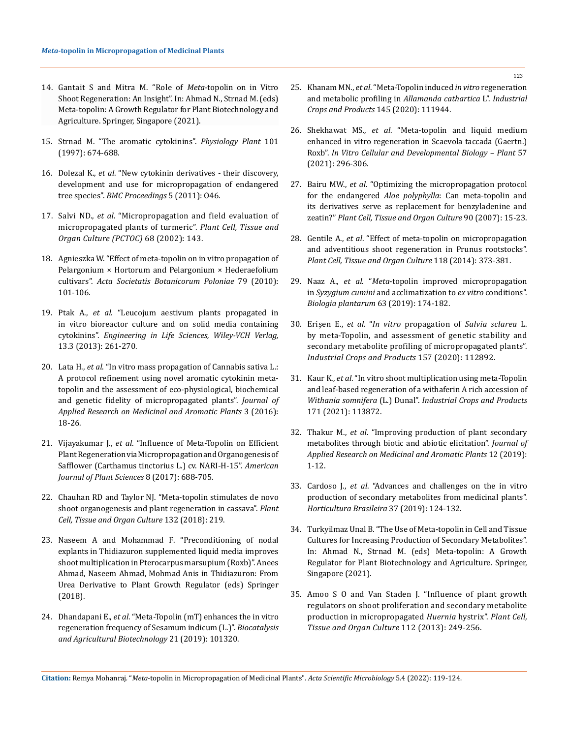- 14. [Gantait S and Mitra M. "Role of](https://doi.org/10.1007/978-981-15-9046-7_12) *Meta*-topolin on in Vitro [Shoot Regeneration: An Insight". In: Ahmad N., Strnad M. \(eds\)](https://doi.org/10.1007/978-981-15-9046-7_12)  [Meta-topolin: A Growth Regulator for Plant Biotechnology and](https://doi.org/10.1007/978-981-15-9046-7_12)  [Agriculture. Springer, Singapore \(2021\).](https://doi.org/10.1007/978-981-15-9046-7_12)
- 15. Strnad M. "The aromatic cytokinins". *Physiology Plant* 101 (1997): 674-688.
- 16. Dolezal K., *et al*[. "New cytokinin derivatives their discovery,](https://doi.org/10.1186/1753-6561-5-S7-O46)  [development and use for micropropagation of endangered](https://doi.org/10.1186/1753-6561-5-S7-O46)  tree species". *[BMC Proceedings](https://doi.org/10.1186/1753-6561-5-S7-O46)* 5 (2011): O46.
- 17. Salvi ND., *et al*[. "Micropropagation and field evaluation of](https://link.springer.com/article/10.1023/A:1013889119887)  [micropropagated plants of turmeric".](https://link.springer.com/article/10.1023/A:1013889119887) *Plant Cell, Tissue and [Organ Culture \(PCTOC\)](https://link.springer.com/article/10.1023/A:1013889119887)* 68 (2002): 143.
- 18. Agnieszka [W. "Effect of meta-topolin on in vitro propagation of](https://www.researchgate.net/publication/269890342_Effect_of_Meta-topolin_on_in_vitro_propagation_of_Pelargonium_hortorum_and_Pelargonium_hederaefolium_cultivars)  [Pelargonium × Hortorum and Pelargonium × Hederaefolium](https://www.researchgate.net/publication/269890342_Effect_of_Meta-topolin_on_in_vitro_propagation_of_Pelargonium_hortorum_and_Pelargonium_hederaefolium_cultivars)  cultivars". *[Acta Societatis Botanicorum Poloniae](https://www.researchgate.net/publication/269890342_Effect_of_Meta-topolin_on_in_vitro_propagation_of_Pelargonium_hortorum_and_Pelargonium_hederaefolium_cultivars)* 79 (2010): [101-106.](https://www.researchgate.net/publication/269890342_Effect_of_Meta-topolin_on_in_vitro_propagation_of_Pelargonium_hortorum_and_Pelargonium_hederaefolium_cultivars)
- 19. Ptak A., *et al*[. "Leucojum aestivum plants propagated in](https://onlinelibrary.wiley.com/doi/epdf/10.1002/elsc.201200109)  [in vitro bioreactor culture and on solid media containing](https://onlinelibrary.wiley.com/doi/epdf/10.1002/elsc.201200109)  cytokinins". *[Engineering in Life Sciences, Wiley-VCH Verlag,](https://onlinelibrary.wiley.com/doi/epdf/10.1002/elsc.201200109)* [13.3 \(2013\): 261-270.](https://onlinelibrary.wiley.com/doi/epdf/10.1002/elsc.201200109)
- 20. Lata H., *et al*[. "In vitro mass propagation of Cannabis sativa L.:](https://www.sciencedirect.com/science/article/abs/pii/S221478611530019X)  [A protocol refinement using novel aromatic cytokinin meta](https://www.sciencedirect.com/science/article/abs/pii/S221478611530019X)[topolin and the assessment of eco-physiological, biochemical](https://www.sciencedirect.com/science/article/abs/pii/S221478611530019X)  [and genetic fidelity of micropropagated plants".](https://www.sciencedirect.com/science/article/abs/pii/S221478611530019X) *Journal of [Applied Research on Medicinal and Aromatic Plants](https://www.sciencedirect.com/science/article/abs/pii/S221478611530019X)* 3 (2016): [18-26.](https://www.sciencedirect.com/science/article/abs/pii/S221478611530019X)
- 21. Vijayakumar J., *et al*[. "Influence of Meta-Topolin on Efficient](https://www.scirp.org/journal/paperinformation.aspx?paperid=74746)  [Plant Regeneration via Micropropagation and Organogenesis of](https://www.scirp.org/journal/paperinformation.aspx?paperid=74746)  [Safflower \(Carthamus tinctorius](https://www.scirp.org/journal/paperinformation.aspx?paperid=74746) L.) cv. NARI-H-15". *American [Journal of Plant Sciences](https://www.scirp.org/journal/paperinformation.aspx?paperid=74746)* 8 (2017): 688-705.
- 22. [Chauhan RD and Taylor NJ. "Meta-topolin stimulates de novo](https://www.ncbi.nlm.nih.gov/pmc/articles/PMC7507842/)  [shoot organogenesis and plant regeneration in cassava".](https://www.ncbi.nlm.nih.gov/pmc/articles/PMC7507842/) *Plant [Cell, Tissue and Organ Culture](https://www.ncbi.nlm.nih.gov/pmc/articles/PMC7507842/)* 132 (2018): 219.
- 23. Naseem A and Mohammad F. "Preconditioning of nodal explants in Thidiazuron supplemented liquid media improves shoot multiplication in Pterocarpus marsupium (Roxb)". Anees Ahmad, Naseem Ahmad, Mohmad Anis in Thidiazuron: From Urea Derivative to Plant Growth Regulator (eds) Springer (2018).
- 24. Dhandapani E., *et al*[. "Meta-Topolin \(mT\) enhances the in vitro](https://www.sciencedirect.com/science/article/abs/pii/S1878818119309867)  [regeneration frequency of Sesamum indicum \(L.\)".](https://www.sciencedirect.com/science/article/abs/pii/S1878818119309867) *Biocatalysis [and Agricultural Biotechnology](https://www.sciencedirect.com/science/article/abs/pii/S1878818119309867)* 21 (2019): 101320.
- 25. Khanam MN., *et al*[. "Meta-Topolin induced](https://www.sciencedirect.com/science/article/abs/pii/S0926669019309549) *in vitro* regeneration and metabolic profiling in *[Allamanda cathartica](https://www.sciencedirect.com/science/article/abs/pii/S0926669019309549)* L". *Industrial [Crops and Products](https://www.sciencedirect.com/science/article/abs/pii/S0926669019309549)* 145 (2020): 111944.
- 26. Shekhawat MS., *et al*[. "Meta-topolin and liquid medium](https://link.springer.com/article/10.1007/s11627-020-10156-y)  enhanced in vitro regeneration in [Scaevola taccada \(Gaertn.\)](https://link.springer.com/article/10.1007/s11627-020-10156-y)  Roxb". *[In Vitro Cellular and Developmental Biology – Plant](https://link.springer.com/article/10.1007/s11627-020-10156-y)* 57 [\(2021\): 296-306.](https://link.springer.com/article/10.1007/s11627-020-10156-y)
- 27. Bairu MW., *et al*[. "Optimizing the micropropagation protocol](https://link.springer.com/article/10.1007/s11240-007-9233-4)  for the endangered *Aloe polyphylla*[: Can meta-topolin and](https://link.springer.com/article/10.1007/s11240-007-9233-4)  [its derivatives serve as replacement for benzyladenine and](https://link.springer.com/article/10.1007/s11240-007-9233-4)  zeatin?" *[Plant Cell, Tissue and Organ Culture](https://link.springer.com/article/10.1007/s11240-007-9233-4)* 90 (2007): 15-23.
- 28. Gentile A., *et al*. "Effect of meta-topolin on micropropagation and adventitious shoot regeneration in Prunus rootstocks". *Plant Cell, Tissue and Organ Culture* 118 (2014): 373-381.
- 29. Naaz A., *et al*. "*Meta*[-topolin improved micropropagation](https://bp.ueb.cas.cz/artkey/bpl-201901-0020_meta-topolin-improved-micropropagation-in-syzygium-cumini-and-acclimatization-to-ex-vitro-conditions.php)  in *Syzygium cumini* [and acclimatization to](https://bp.ueb.cas.cz/artkey/bpl-201901-0020_meta-topolin-improved-micropropagation-in-syzygium-cumini-and-acclimatization-to-ex-vitro-conditions.php) *ex vitro* conditions". *[Biologia plantarum](https://bp.ueb.cas.cz/artkey/bpl-201901-0020_meta-topolin-improved-micropropagation-in-syzygium-cumini-and-acclimatization-to-ex-vitro-conditions.php)* 63 (2019): 174-182.
- 30. Erişen E., *et al*. "*In vitro* propagation of *[Salvia sclarea](https://www.sciencedirect.com/science/article/abs/pii/S0926669020308098)* L. [by meta-Topolin, and assessment of genetic stability and](https://www.sciencedirect.com/science/article/abs/pii/S0926669020308098)  [secondary metabolite profiling of micropropagated plants".](https://www.sciencedirect.com/science/article/abs/pii/S0926669020308098)  *[Industrial Crops and Products](https://www.sciencedirect.com/science/article/abs/pii/S0926669020308098)* 157 (2020): 112892.
- 31. Kaur K., *et al*[. "In vitro shoot multiplication using meta-Topolin](https://www.sciencedirect.com/science/article/abs/pii/S0926669021006361)  [and leaf-based regeneration of a withaferin A rich accession of](https://www.sciencedirect.com/science/article/abs/pii/S0926669021006361)  *Withania somnifera* (L.) Dunal". *[Industrial Crops and Products](https://www.sciencedirect.com/science/article/abs/pii/S0926669021006361)* [171 \(2021\): 113872.](https://www.sciencedirect.com/science/article/abs/pii/S0926669021006361)
- 32. Thakur M., *et al*[. "Improving production of plant secondary](https://www.sciencedirect.com/science/article/abs/pii/S2214786118303577)  [metabolites through biotic and abiotic elicitation".](https://www.sciencedirect.com/science/article/abs/pii/S2214786118303577) *Journal of [Applied Research on Medicinal and Aromatic Plants](https://www.sciencedirect.com/science/article/abs/pii/S2214786118303577)* 12 (2019): [1-12.](https://www.sciencedirect.com/science/article/abs/pii/S2214786118303577)
- 33. Cardoso J., *et al*[. "Advances and challenges on the in vitro](https://www.scielo.br/j/hb/a/Hmgc44W56hrPQkxTZ9dv38D/?lang=en)  [production of secondary metabolites from medicinal plants".](https://www.scielo.br/j/hb/a/Hmgc44W56hrPQkxTZ9dv38D/?lang=en)  *[Horticultura Brasileira](https://www.scielo.br/j/hb/a/Hmgc44W56hrPQkxTZ9dv38D/?lang=en)* 37 (2019): 124-132.
- 34. Turkyilmaz Unal B. "The Use of Meta-topolin in Cell and Tissue Cultures for Increasing Production of Secondary Metabolites". In: Ahmad N., Strnad M. (eds) Meta-topolin: A Growth Regulator for Plant Biotechnology and Agriculture. Springer, Singapore (2021).
- 35. [Amoo S O and Van Staden J. "Influence of plant growth](https://link.springer.com/article/10.1007/s11240-012-0230-x)  [regulators on shoot proliferation and secondary metabolite](https://link.springer.com/article/10.1007/s11240-012-0230-x)  [production in micropropagated](https://link.springer.com/article/10.1007/s11240-012-0230-x) *Huernia* hystrix". *Plant Cell, [Tissue and Organ Culture](https://link.springer.com/article/10.1007/s11240-012-0230-x)* 112 (2013): 249-256.

**Citation:** Remya Mohanraj*.* "*Meta*-topolin in Micropropagation of Medicinal Plants". *Acta Scientific Microbiology* 5.4 (2022): 119-124.

123